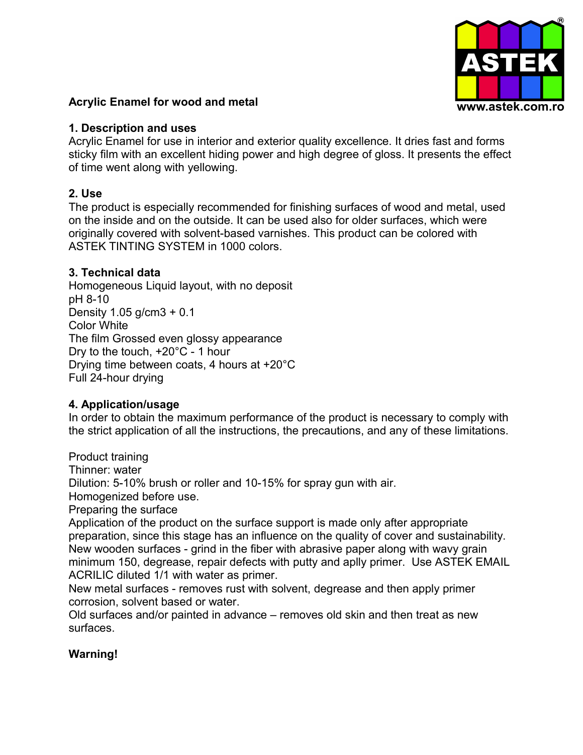

### **Acrylic Enamel for wood and metal**

#### **1. Description and uses**

Acrylic Enamel for use in interior and exterior quality excellence. It dries fast and forms sticky film with an excellent hiding power and high degree of gloss. It presents the effect of time went along with yellowing.

### **2. Use**

The product is especially recommended for finishing surfaces of wood and metal, used on the inside and on the outside. It can be used also for older surfaces, which were originally covered with solvent-based varnishes. This product can be colored with ASTEK TINTING SYSTEM in 1000 colors.

### **3. Technical data**

Homogeneous Liquid layout, with no deposit pH 8-10 Density 1.05 g/cm3 + 0.1 Color White The film Grossed even glossy appearance Dry to the touch, +20°C - 1 hour Drying time between coats, 4 hours at +20°C Full 24-hour drying

### **4. Application/usage**

In order to obtain the maximum performance of the product is necessary to comply with the strict application of all the instructions, the precautions, and any of these limitations.

Product training Thinner: water Dilution: 5-10% brush or roller and 10-15% for spray gun with air. Homogenized before use. Preparing the surface

Application of the product on the surface support is made only after appropriate preparation, since this stage has an influence on the quality of cover and sustainability. New wooden surfaces - grind in the fiber with abrasive paper along with wavy grain minimum 150, degrease, repair defects with putty and aplly primer. Use ASTEK EMAIL ACRILIC diluted 1/1 with water as primer.

New metal surfaces - removes rust with solvent, degrease and then apply primer corrosion, solvent based or water.

Old surfaces and/or painted in advance – removes old skin and then treat as new surfaces.

# **Warning!**